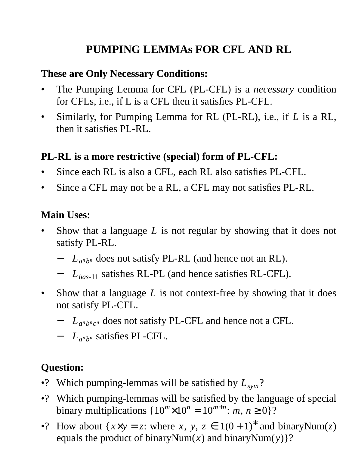# **PUMPING LEMMAs FOR CFL AND RL**

#### **These are Only Necessary Conditions:**

- The Pumping Lemma for CFL (PL-CFL) is a *necessary* condition for CFLs, i.e., if L is a CFL then it satisfies PL-CFL.
- Similarly, for Pumping Lemma for RL (PL-RL), i.e., if *L* is a RL, then it satisfies PL-RL.

#### **PL-RL is a more restrictive (special) form of PL-CFL:**

- Since each RL is also a CFL, each RL also satisfies PL-CFL.
- Since a CFL may not be a RL, a CFL may not satisfies PL-RL.

#### **Main Uses:**

- Show that a language *L* is not regular by showing that it does not satisfy PL-RL.
	- − *L<sup>a</sup> n b <sup>n</sup>* does not satisfy PL-RL (and hence not an RL).
	- − *Lhas*-11 satisfies RL-PL (and hence satisfies RL-CFL).
- Show that a language *L* is not context-free by showing that it does not satisfy PL-CFL.
	- − *L<sup>a</sup> n b nc <sup>n</sup>* does not satisfy PL-CFL and hence not a CFL.
	- − *L<sup>a</sup> n b <sup>n</sup>* satisfies PL-CFL.

#### **Question:**

- •? Which pumping-lemmas will be satisfied by *Lsym*?
- •? Which pumping-lemmas will be satisfied by the language of special binary multiplications  $\{10^m \times 10^n = 10^{m+n} : m, n \ge 0\}$ ?
- •? How about  $\{x \times y = z: \text{ where } x, y, z \in 1(0+1)^* \text{ and binaryNum}(z) \}$ equals the product of binaryNum(*x*) and binaryNum(*y*)}?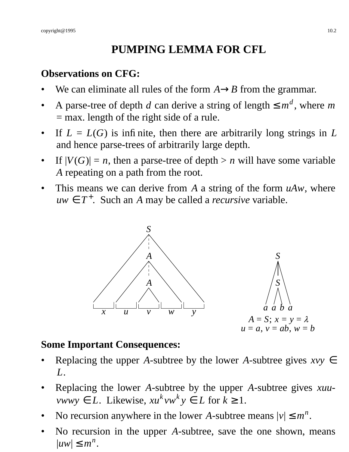# **PUMPING LEMMA FOR CFL**

#### **Observations on CFG:**

- We can eliminate all rules of the form  $A \rightarrow B$  from the grammar.
- A parse-tree of depth *d* can derive a string of length  $\leq m^d$ , where *m* = max. length of the right side of a rule.
- If  $L = L(G)$  is infinite, then there are arbitrarily long strings in  $L$ and hence parse-trees of arbitrarily large depth.
- If  $|V(G)| = n$ , then a parse-tree of depth  $> n$  will have some variable *A* repeating on a path from the root.
- This means we can derive from *A* a string of the form *uAw*, where  $uw \in T^+$ . Such an *A* may be called a *recursive* variable.



#### **Some Important Consequences:**

- Replacing the upper *A*-subtree by the lower *A*-subtree gives  $xy \in$ *L*.
- Replacing the lower *A*-subtree by the upper *A*-subtree gives *xuuvwwy* ∈ *L*. Likewise,  $xu^kvw^ky \in L$  for  $k \ge 1$ .
- No recursion anywhere in the lower *A*-subtree means  $|v| \le m^n$ .
- No recursion in the upper *A*-subtree, save the one shown, means  $|uw| \leq m^n$ .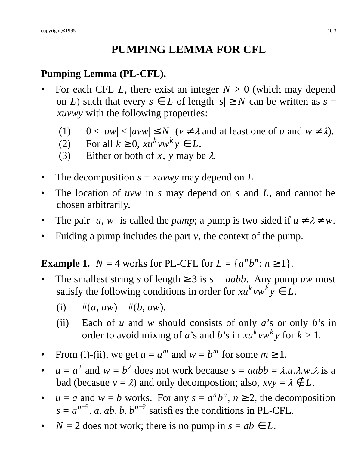# **PUMPING LEMMA FOR CFL**

# **Pumping Lemma (PL-CFL).**

- For each CFL *L*, there exist an integer  $N > 0$  (which may depend on *L*) such that every  $s \in L$  of length  $|s| \geq N$  can be written as  $s =$ *xuvwy* with the following properties:
	- (1)  $0 < |uw| < |uvw| \le N$  ( $v \ne \lambda$  and at least one of *u* and  $w \ne \lambda$ ).
	- (2) For all  $k \geq 0$ ,  $xu^kvw^ky \in L$ .
	- (3) Either or both of *x*, *y* may be  $\lambda$ .
- The decomposition  $s = xuvw$  may depend on  $L$ .
- The location of *uvw* in *s* may depend on *s* and *L*, and cannot be chosen arbitrarily.
- The pair  $\langle u, w \rangle$  is called the *pump*; a pump is two sided if  $u \neq \lambda \neq w$ .
- Fuiding a pump includes the part *v*, the context of the pump.

**Example 1.**  $N = 4$  works for PL-CFL for  $L = \{a^n b^n : n \ge 1\}.$ 

The smallest string *s* of length  $\geq 3$  is  $s = aabb$ . Any pump *uw* must satisfy the following conditions in order for  $xu^kvw^ky \in L$ .

(i) 
$$
\#(a, uw) = \#(b, uw).
$$

- (ii) Each of *u* and *w* should consists of only *a*'s or only *b*'s in order to avoid mixing of *a*'s and *b*'s in  $xu^kvw^ky$  for  $k > 1$ .
- From (i)-(ii), we get  $u = a^m$  and  $w = b^m$  for some  $m \ge 1$ .
- $u = a^2$  and  $w = b^2$  does not work because  $s = aabb = \lambda.u.\lambda.w.\lambda$  is a bad (becasue  $v = \lambda$ ) and only decompostion; also,  $xvy = \lambda \notin L$ .
- $u = a$  and  $w = b$  works. For any  $s = a^n b^n$ ,  $n \ge 2$ , the decomposition  $s = a^{n-2}$ . *a. ab. b.*  $b^{n-2}$  satisfies the conditions in PL-CFL.
- $N = 2$  does not work; there is no pump in  $s = ab \in L$ .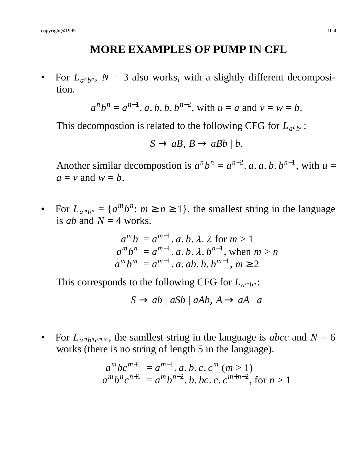# **MORE EXAMPLES OF PUMP IN CFL**

• For  $L_{a^n b^n}$ ,  $N = 3$  also works, with a slightly different decomposition.

$$
a^n b^n = a^{n-1}
$$
. *a*. *b*. *b*.  $b^{n-2}$ , with  $u = a$  and  $v = w = b$ .

This decompostion is related to the following CFG for  $L_{a^n b^n}$ :

$$
S \to aB, B \to aBb \mid b.
$$

Another similar decompostion is  $a^n b^n = a^{n-2}$ . *a*. *a*. *b*.  $b^{n-1}$ , with  $u =$  $a = v$  and  $w = b$ .

• For  $L_{a^m b^n} = \{a^m b^n : m \ge n \ge 1\}$ , the smallest string in the language is *ab* and  $N = 4$  works.

$$
a^{m}b = a^{m-1}. a. b. \lambda. \lambda \text{ for } m > 1
$$
  
\n
$$
a^{m}b^{n} = a^{m-1}. a. b. \lambda. b^{n-1}, \text{ when } m > n
$$
  
\n
$$
a^{m}b^{m} = a^{m-1}. a. ab. b. b^{m-1}, m \ge 2
$$

This corresponds to the following CFG for  $L_{a^m b^n}$ :

$$
S \to ab \mid aSb \mid aAb, A \to aA \mid a
$$

• For  $L_{a^m b^n c^{m+n}}$ , the samllest string in the language is *abcc* and  $N = 6$ works (there is no string of length 5 in the language).

$$
a^{m}bc^{m+1} = a^{m-1}. a. b. c. c^{m} (m > 1)
$$
  

$$
a^{m}b^{n}c^{n+1} = a^{m}b^{n-2}. b. bc. c. c^{m+n-2}, \text{ for } n > 1
$$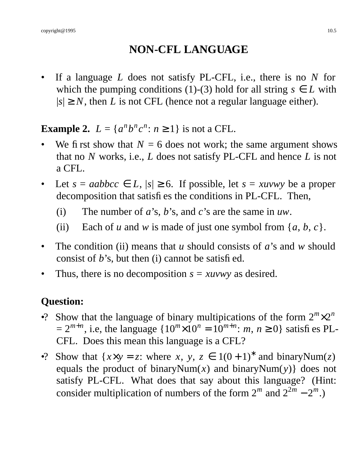# **NON-CFL LANGUAGE**

If a language *L* does not satisfy PL-CFL, i.e., there is no *N* for which the pumping conditions (1)-(3) hold for all string  $s \in L$  with  $|s| \geq N$ , then *L* is not CFL (hence not a regular language either).

**Example 2.**  $L = \{a^n b^n c^n : n \ge 1\}$  is not a CFL.

- We first show that  $N = 6$  does not work; the same argument shows that no *N* works, i.e., *L* does not satisfy PL-CFL and hence *L* is not a CFL.
- Let  $s = aabbcc \in L$ ,  $|s| \ge 6$ . If possible, let  $s = xuvw$  be a proper decomposition that satisfies the conditions in PL-CFL. Then,
	- (i) The number of *a*'s, *b*'s, and *c*'s are the same in *uw*.
	- (ii) Each of *u* and *w* is made of just one symbol from  $\{a, b, c\}$ .
- The condition (ii) means that *u* should consists of *a*'s and *w* should consist of *b*'s, but then (i) cannot be satisfied.
- Thus, there is no decomposition  $s = xuvw$  as desired.

# **Question:**

- •? Show that the language of binary multipications of the form  $2^m \times 2^n$  $= 2^{m+n}$ , i.e, the language  $\{10^m \times 10^n = 10^{m+n}$ : *m*,  $n \ge 0\}$  satisfies PL-CFL. Does this mean this language is a CFL?
- •? Show that  $\{x \times y = z: \text{ where } x, y, z \in 1(0+1)^* \text{ and binaryNum}(z)$ equals the product of binaryNum $(x)$  and binaryNum $(y)$ } does not satisfy PL-CFL. What does that say about this language? (Hint: consider multiplication of numbers of the form  $2^m$  and  $2^{2m} - 2^m$ .)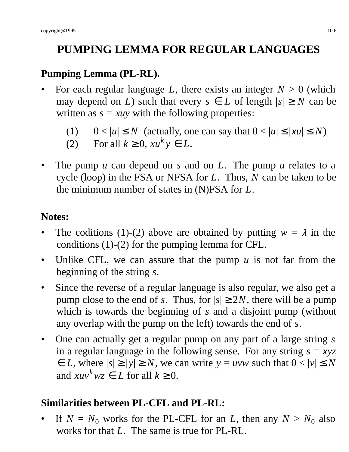# **PUMPING LEMMA FOR REGULAR LANGUAGES**

# **Pumping Lemma (PL-RL).**

- For each regular language *L*, there exists an integer  $N > 0$  (which may depend on *L*) such that every  $s \in L$  of length  $|s| \geq N$  can be written as  $s = xuy$  with the following properties:
	- (1)  $0 < |u| \le N$  (actually, one can say that  $0 < |u| \le |xu| \le N$ )
	- (2) For all  $k \ge 0$ ,  $xu^k y \in L$ .
- The pump *u* can depend on *s* and on *L*. The pump *u* relates to a cycle (loop) in the FSA or NFSA for *L*. Thus, *N* can be taken to be the minimum number of states in (N)FSA for *L*.

### **Notes:**

- The coditions (1)-(2) above are obtained by putting  $w = \lambda$  in the conditions (1)-(2) for the pumping lemma for CFL.
- Unlike CFL, we can assure that the pump  $u$  is not far from the beginning of the string *s*.
- Since the reverse of a regular language is also regular, we also get a pump close to the end of *s*. Thus, for  $|s| \ge 2N$ , there will be a pump which is towards the beginning of *s* and a disjoint pump (without any overlap with the pump on the left) towards the end of *s*.
- One can actually get a regular pump on any part of a large string *s* in a regular language in the following sense. For any string *s* = *xyz*  $\leq L$ , where  $|s| \geq |y| \geq N$ , we can write  $y = uvw$  such that  $0 < |v| \leq N$ and  $xuv^kwz \in L$  for all  $k \geq 0$ .

# **Similarities between PL-CFL and PL-RL:**

If  $N = N_0$  works for the PL-CFL for an *L*, then any  $N > N_0$  also works for that *L*. The same is true for PL-RL.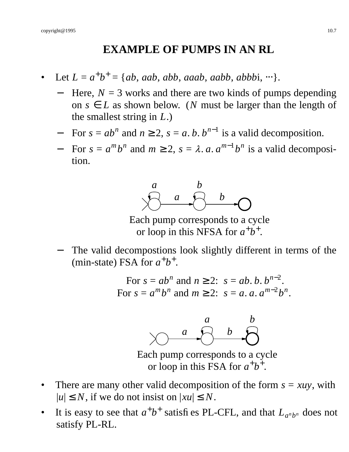#### **EXAMPLE OF PUMPS IN AN RL**

- Let  $L = a^+b^+ = \{ab, aab, abb, aaab, aabb, abbbi, \cdots\}.$ 
	- Here,  $N = 3$  works and there are two kinds of pumps depending on  $s \in L$  as shown below. (*N* must be larger than the length of the smallest string in *L*.)
	- $\blacksquare$  For  $s = ab^n$  and  $n \ge 2$ ,  $s = a, b, b^{n-1}$  is a valid decomposition.
	- $\blacksquare$  For  $s = a^m b^n$  and  $m \ge 2$ ,  $s = \lambda$ . *a*.  $a^{m-1} b^n$  is a valid decomposition.



Each pump corresponds to a cycle or loop in this NFSA for  $a^+b^+$ .

The valid decompostions look slightly different in terms of the (min-state) FSA for  $a^+b^+$ .

> For  $s = ab^n$  and  $n \ge 2$ :  $s = ab$ . *b*.  $b^{n-2}$ . For  $s = a^m b^n$  and  $m \ge 2$ :  $s = a$ .  $a$ .  $a^{m-2} b^n$ .



Each pump corresponds to a cycle or loop in this FSA for  $a^+b^+$ .

- There are many other valid decomposition of the form  $s = xuy$ , with  $|u| \leq N$ , if we do not insist on  $|xu| \leq N$ .
- It is easy to see that  $a^+b^+$  satisfies PL-CFL, and that  $L_{a^nb^n}$  does not satisfy PL-RL.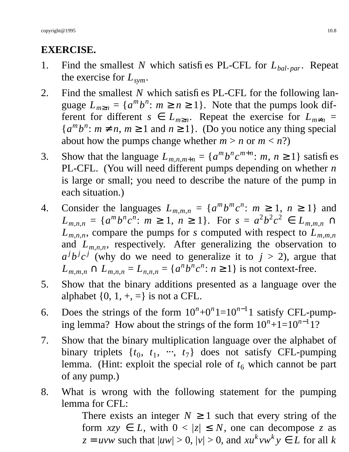# **EXERCISE.**

- 1. Find the smallest *N* which satisfies PL-CFL for *Lbal par*. Repeat the exercise for *Lsym*.
- 2. Find the smallest *N* which satisfies PL-CFL for the following language  $L_{m \ge n} = \{a^m b^n : m \ge n \ge 1\}$ . Note that the pumps look different for different  $s \in L_{m \geq n}$ . Repeat the exercise for  $L_{m \neq n}$  =  ${a^m b^n : m \neq n, m \geq 1 \text{ and } n \geq 1}.$  (Do you notice any thing special about how the pumps change whether  $m > n$  or  $m < n$ ?)
- 3. Show that the language  $L_{m,n,m+n} = \{a^m b^n c^{m+n} : m, n \ge 1\}$  satisfies PL-CFL. (You will need different pumps depending on whether *n* is large or small; you need to describe the nature of the pump in each situation.)
- 4. Consider the languages  $L_{m,m,n} = \{a^m b^m c^n : m \ge 1, n \ge 1\}$  and  $L_{m,n,n} = \{a^m b^n c^n : m \ge 1, n \ge 1\}$ . For  $s = a^2 b^2 c^2 \in L_{m,m,n}$  $L_{m,n,n}$ , compare the pumps for *s* computed with respect to  $L_{m,m,n}$ and  $L_{m,n,n}$ , respectively. After generalizing the observation to  $a^j b^j c^j$  (why do we need to generalize it to  $j > 2$ ), argue that  $L_{m,m,n} \cap L_{m,n,n} = L_{n,n,n} = \{a^n b^n c^n : n \ge 1\}$  is not context-free.
- 5. Show that the binary additions presented as a language over the alphabet  $\{0, 1, +, =\}$  is not a CFL.
- 6. Does the strings of the form  $10^n + 0^n1 = 10^{n-1}1$  satisfy CFL-pumping lemma? How about the strings of the form  $10^n + 1 = 10^{n-1}$  1?
- 7. Show that the binary multiplication language over the alphabet of binary triplets  $\{t_0, t_1, \dots, t_7\}$  does not satisfy CFL-pumping lemma. (Hint: exploit the special role of  $t<sub>6</sub>$  which cannot be part of any pump.)
- 8. What is wrong with the following statement for the pumping lemma for CFL:

There exists an integer  $N \geq 1$  such that every string of the form  $xyz \in L$ , with  $0 < |z| \le N$ , one can decompose *z* as  $z = uvw$  such that  $|uw| > 0$ ,  $|v| > 0$ , and  $xu^kvw^ky \in L$  for all *k*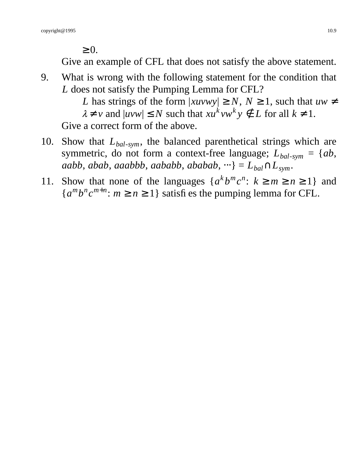$\geq 0$ .

Give an example of CFL that does not satisfy the above statement.

9. What is wrong with the following statement for the condition that *L* does not satisfy the Pumping Lemma for CFL?

*L* has strings of the form  $|xuvwy| \ge N$ ,  $N \ge 1$ , such that  $uw \ne$  $\lambda \neq v$  and  $|uvw| \leq N$  such that  $xu^kvw^ky \notin L$  for all  $k \neq 1$ . Give a correct form of the above.

- 10. Show that *Lbal*-*sym*, the balanced parenthetical strings which are symmetric, do not form a context-free language;  $L_{bal-sym} = \{ab,$ *aabb*, *abab*, *aaabbb*, *aababb*, *ababab*,  $\dots$ } =  $L_{bal} \cap L_{sym}$ .
- 11. Show that none of the languages  $\{a^k b^m c^n : k \ge m \ge n \ge 1\}$  and  ${a^m b^n c^{m+n} : m \ge n \ge 1}$  satisfies the pumping lemma for CFL.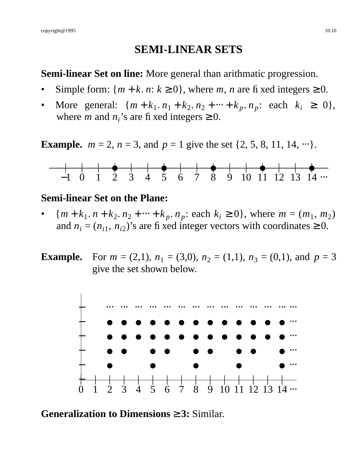## **SEMI-LINEAR SETS**

#### **Semi-linear Set on line:** More general than arithmatic progression.

- Simple form:  $\{m + k, n : k \ge 0\}$ , where *m*, *n* are fixed integers  $\ge 0$ .
- More general:  $\{m + k_1, n_1 + k_2, n_2 + \dots + k_p, n_p:$  each  $k_i \ge 0\},$ where *m* and  $n_i$ 's are fixed integers  $\geq 0$ .

**Example.**  $m = 2$ ,  $n = 3$ , and  $p = 1$  give the set  $\{2, 5, 8, 11, 14, \dots\}$ .



#### **Semi-linear Set on the Plane:**

- ${m+k_1, n+k_2, n_2 + \dots + k_p, n_p : each k_i \ge 0}$ , where  $m = (m_1, m_2)$ and  $n_i = (n_{i1}, n_{i2})$ 's are fixed integer vectors with coordinates  $\geq 0$ .
- **Example.** For  $m = (2,1)$ ,  $n_1 = (3,0)$ ,  $n_2 = (1,1)$ ,  $n_3 = (0,1)$ , and  $p = 3$ give the set shown below.



**Generalization to Dimensions** ≥ **3:** Similar.